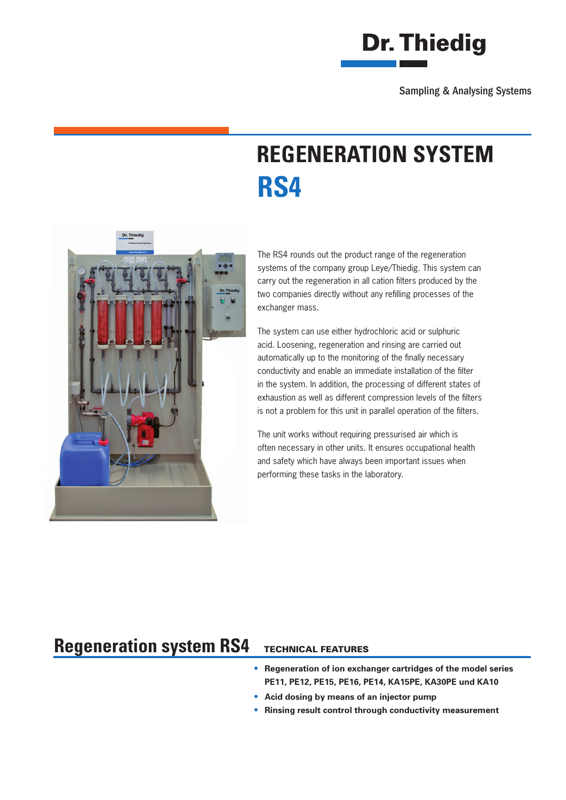

Sampling & Analysing Systems

# **REGENERATION SYSTEM RS4**



The RS4 rounds out the product range of the regeneration systems of the company group Leye/Thiedig. This system can carry out the regeneration in all cation filters produced by the two companies directly without any refilling processes of the exchanger mass.

The system can use either hydrochloric acid or sulphuric acid. Loosening, regeneration and rinsing are carried out automatically up to the monitoring of the finally necessary conductivity and enable an immediate installation of the filter in the system. In addition, the processing of different states of exhaustion as well as different compression levels of the filters is not a problem for this unit in parallel operation of the filters.

The unit works without requiring pressurised air which is often necessary in other units. It ensures occupational health and safety which have always been important issues when performing these tasks in the laboratory.

#### TECHNICAL FEATURES **Regeneration system RS4**

### **• Regeneration of ion exchanger cartridges of the model series PE11, PE12, PE15, PE16, PE14, KA15PE, KA30PE und KA10**

- **• Acid dosing by means of an injector pump**
- **• Rinsing result control through conductivity measurement**